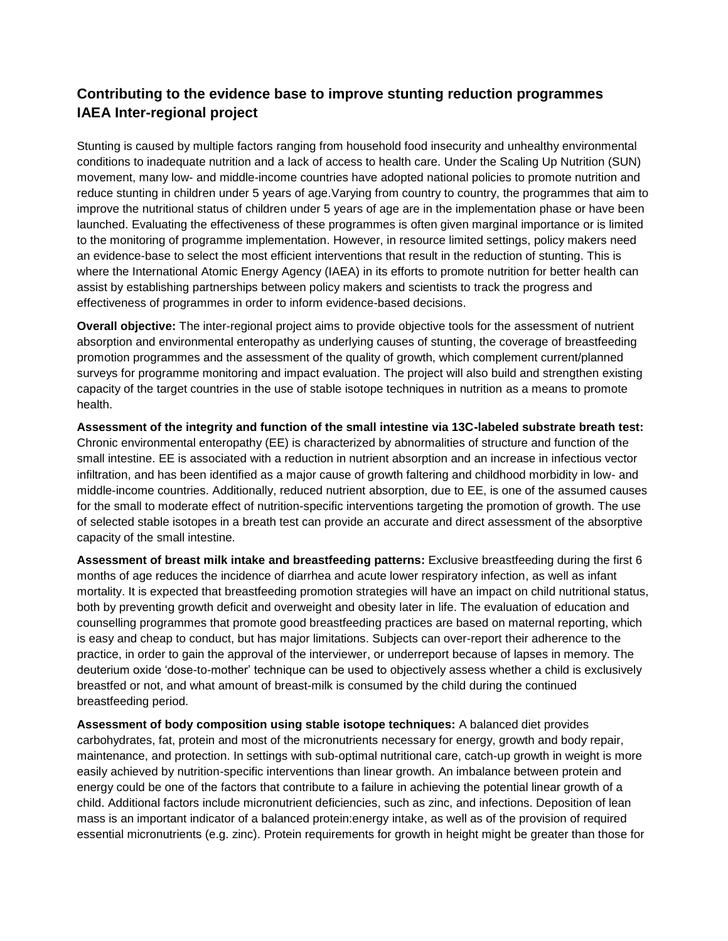# **Contributing to the evidence base to improve stunting reduction programmes IAEA Inter-regional project**

Stunting is caused by multiple factors ranging from household food insecurity and unhealthy environmental conditions to inadequate nutrition and a lack of access to health care. Under the Scaling Up Nutrition (SUN) movement, many low- and middle-income countries have adopted national policies to promote nutrition and reduce stunting in children under 5 years of age.Varying from country to country, the programmes that aim to improve the nutritional status of children under 5 years of age are in the implementation phase or have been launched. Evaluating the effectiveness of these programmes is often given marginal importance or is limited to the monitoring of programme implementation. However, in resource limited settings, policy makers need an evidence-base to select the most efficient interventions that result in the reduction of stunting. This is where the International Atomic Energy Agency (IAEA) in its efforts to promote nutrition for better health can assist by establishing partnerships between policy makers and scientists to track the progress and effectiveness of programmes in order to inform evidence-based decisions.

**Overall objective:** The inter-regional project aims to provide objective tools for the assessment of nutrient absorption and environmental enteropathy as underlying causes of stunting, the coverage of breastfeeding promotion programmes and the assessment of the quality of growth, which complement current/planned surveys for programme monitoring and impact evaluation. The project will also build and strengthen existing capacity of the target countries in the use of stable isotope techniques in nutrition as a means to promote health.

**Assessment of the integrity and function of the small intestine via 13C-labeled substrate breath test:** Chronic environmental enteropathy (EE) is characterized by abnormalities of structure and function of the small intestine. EE is associated with a reduction in nutrient absorption and an increase in infectious vector infiltration, and has been identified as a major cause of growth faltering and childhood morbidity in low- and middle-income countries. Additionally, reduced nutrient absorption, due to EE, is one of the assumed causes for the small to moderate effect of nutrition-specific interventions targeting the promotion of growth. The use of selected stable isotopes in a breath test can provide an accurate and direct assessment of the absorptive capacity of the small intestine.

**Assessment of breast milk intake and breastfeeding patterns:** Exclusive breastfeeding during the first 6 months of age reduces the incidence of diarrhea and acute lower respiratory infection, as well as infant mortality. It is expected that breastfeeding promotion strategies will have an impact on child nutritional status, both by preventing growth deficit and overweight and obesity later in life. The evaluation of education and counselling programmes that promote good breastfeeding practices are based on maternal reporting, which is easy and cheap to conduct, but has major limitations. Subjects can over-report their adherence to the practice, in order to gain the approval of the interviewer, or underreport because of lapses in memory. The deuterium oxide 'dose-to-mother' technique can be used to objectively assess whether a child is exclusively breastfed or not, and what amount of breast-milk is consumed by the child during the continued breastfeeding period.

**Assessment of body composition using stable isotope techniques:** A balanced diet provides carbohydrates, fat, protein and most of the micronutrients necessary for energy, growth and body repair, maintenance, and protection. In settings with sub-optimal nutritional care, catch-up growth in weight is more easily achieved by nutrition-specific interventions than linear growth. An imbalance between protein and energy could be one of the factors that contribute to a failure in achieving the potential linear growth of a child. Additional factors include micronutrient deficiencies, such as zinc, and infections. Deposition of lean mass is an important indicator of a balanced protein:energy intake, as well as of the provision of required essential micronutrients (e.g. zinc). Protein requirements for growth in height might be greater than those for